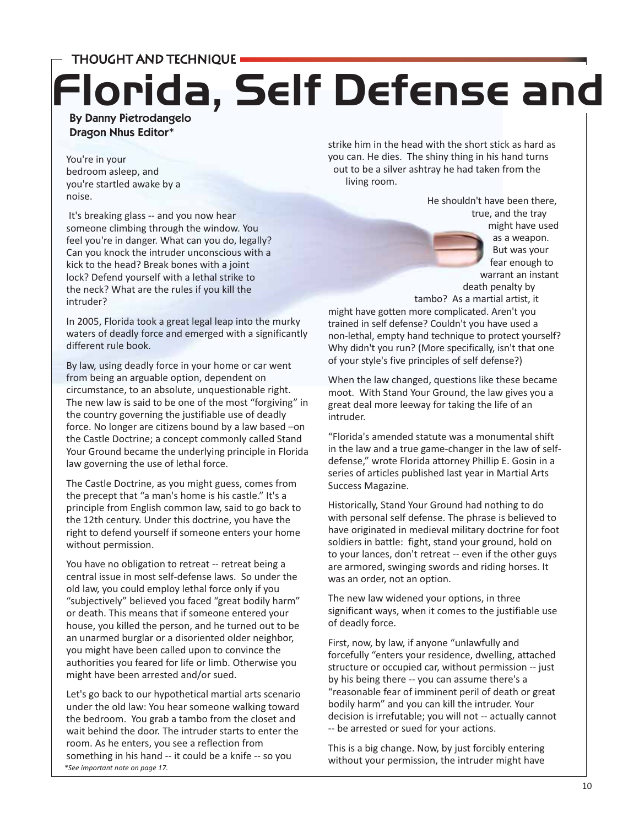THOUGHT AND TECHNIQUE

## By Danny Pietrodangelo **Florida, Self Defense and**

Dragon Nhus Editor\*

You're in your bedroom asleep, and you're startled awake by a noise.

It's breaking glass -- and you now hear someone climbing through the window. You feel you're in danger. What can you do, legally? Can you knock the intruder unconscious with a kick to the head? Break bones with a joint lock? Defend yourself with a lethal strike to the neck? What are the rules if you kill the intruder?

In 2005, Florida took a great legal leap into the murky waters of deadly force and emerged with a significantly different rule book.

By law, using deadly force in your home or car went from being an arguable option, dependent on circumstance, to an absolute, unquestionable right. The new law is said to be one of the most "forgiving" in the country governing the justifiable use of deadly force. No longer are citizens bound by a law based –on the Castle Doctrine; a concept commonly called Stand Your Ground became the underlying principle in Florida law governing the use of lethal force.

The Castle Doctrine, as you might guess, comes from the precept that "a man's home is his castle." It's a principle from English common law, said to go back to the 12th century. Under this doctrine, you have the right to defend yourself if someone enters your home without permission.

You have no obligation to retreat -- retreat being a central issue in most self-defense laws. So under the old law, you could employ lethal force only if you "subjectively" believed you faced "great bodily harm" or death. This means that if someone entered your house, you killed the person, and he turned out to be an unarmed burglar or a disoriented older neighbor, you might have been called upon to convince the authorities you feared for life or limb. Otherwise you might have been arrested and/or sued.

*\*See important note on page 17.* Let's go back to our hypothetical martial arts scenario under the old law: You hear someone walking toward the bedroom. You grab a tambo from the closet and wait behind the door. The intruder starts to enter the room. As he enters, you see a reflection from something in his hand -- it could be a knife -- so you

strike him in the head with the short stick as hard as you can. He dies. The shiny thing in his hand turns out to be a silver ashtray he had taken from the living room.

> He shouldn't have been there, true, and the tray might have used

as a weapon. But was your fear enough to warrant an instant death penalty by

tambo? As a martial artist, it

might have gotten more complicated. Aren't you trained in self defense? Couldn't you have used a non-lethal, empty hand technique to protect yourself? Why didn't you run? (More specifically, isn't that one of your style's five principles of self defense?)

When the law changed, questions like these became moot. With Stand Your Ground, the law gives you a great deal more leeway for taking the life of an intruder.

"Florida's amended statute was a monumental shift in the law and a true game-changer in the law of selfdefense," wrote Florida attorney Phillip E. Gosin in a series of articles published last year in Martial Arts Success Magazine.

Historically, Stand Your Ground had nothing to do with personal self defense. The phrase is believed to have originated in medieval military doctrine for foot soldiers in battle: fight, stand your ground, hold on to your lances, don't retreat -- even if the other guys are armored, swinging swords and riding horses. It was an order, not an option.

The new law widened your options, in three significant ways, when it comes to the justifiable use of deadly force.

First, now, by law, if anyone "unlawfully and forcefully "enters your residence, dwelling, attached structure or occupied car, without permission -- just by his being there -- you can assume there's a "reasonable fear of imminent peril of death or great bodily harm" and you can kill the intruder. Your decision is irrefutable; you will not -- actually cannot -- be arrested or sued for your actions.

This is a big change. Now, by just forcibly entering without your permission, the intruder might have